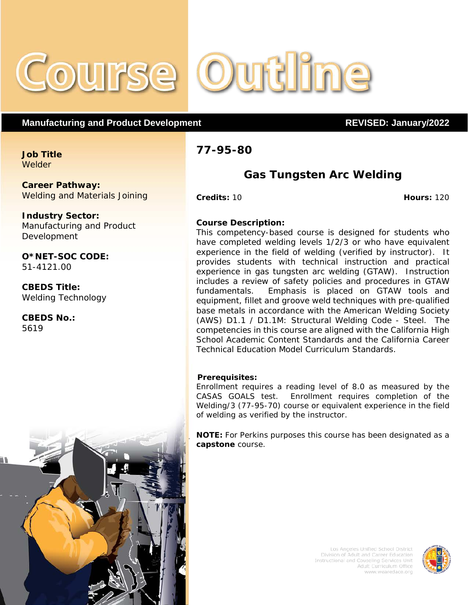

# **Manufacturing and Product Development REVISED: January/2022**

**Job Title Welder** 

**Career Pathway:** Welding and Materials Joining

**Industry Sector:** Manufacturing and Product Development

**O\*NET-SOC CODE:** 51-4121.00

**CBEDS Title:** Welding Technology

**CBEDS No.:** 5619

# **77-95-80**

# **Gas Tungsten Arc Welding**

**Credits:** 10 **Hours:** 120

## **Course Description:**

This competency-based course is designed for students who have completed welding levels 1/2/3 or who have equivalent experience in the field of welding (verified by instructor). It provides students with technical instruction and practical experience in gas tungsten arc welding (GTAW). Instruction includes a review of safety policies and procedures in GTAW fundamentals. Emphasis is placed on GTAW tools and equipment, fillet and groove weld techniques with pre-qualified base metals in accordance with the American Welding Society (AWS) D1.1 / D1.1M: Structural Welding Code - Steel. The competencies in this course are aligned with the California High School Academic Content Standards and the California Career Technical Education Model Curriculum Standards.

### **Prerequisites:**

Enrollment requires a reading level of 8.0 as measured by the CASAS GOALS test. Enrollment requires completion of the Welding/3 (77-95-70) course or equivalent experience in the field of welding as verified by the instructor.

**NOTE:** For Perkins purposes this course has been designated as a **capstone** course.



Los Angeles Unified School District Division of Adult and Career Education Instructional and Couseling Services Unit Adult Curriculum Office www.wearedace.org

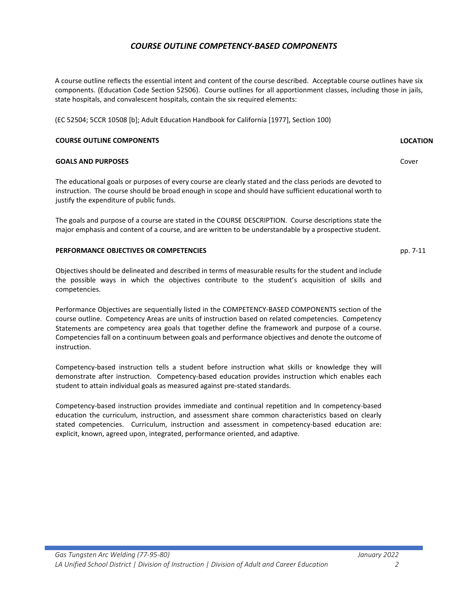# *COURSE OUTLINE COMPETENCY-BASED COMPONENTS*

A course outline reflects the essential intent and content of the course described. Acceptable course outlines have six components. (Education Code Section 52506). Course outlines for all apportionment classes, including those in jails, state hospitals, and convalescent hospitals, contain the six required elements:

(EC 52504; 5CCR 10508 [b]; Adult Education Handbook for California [1977], Section 100)

#### **COURSE OUTLINE COMPONENTS LOCATION**

#### **GOALS AND PURPOSES**

The educational goals or purposes of every course are clearly stated and the class periods are devoted to instruction. The course should be broad enough in scope and should have sufficient educational worth to justify the expenditure of public funds.

The goals and purpose of a course are stated in the COURSE DESCRIPTION. Course descriptions state the major emphasis and content of a course, and are written to be understandable by a prospective student.

#### **PERFORMANCE OBJECTIVES OR COMPETENCIES**

Objectives should be delineated and described in terms of measurable results for the student and include the possible ways in which the objectives contribute to the student's acquisition of skills and competencies.

Performance Objectives are sequentially listed in the COMPETENCY-BASED COMPONENTS section of the course outline. Competency Areas are units of instruction based on related competencies. Competency Statements are competency area goals that together define the framework and purpose of a course. Competencies fall on a continuum between goals and performance objectives and denote the outcome of instruction.

Competency-based instruction tells a student before instruction what skills or knowledge they will demonstrate after instruction. Competency-based education provides instruction which enables each student to attain individual goals as measured against pre-stated standards.

Competency-based instruction provides immediate and continual repetition and In competency-based education the curriculum, instruction, and assessment share common characteristics based on clearly stated competencies. Curriculum, instruction and assessment in competency-based education are: explicit, known, agreed upon, integrated, performance oriented, and adaptive.

pp. 7-11

Cover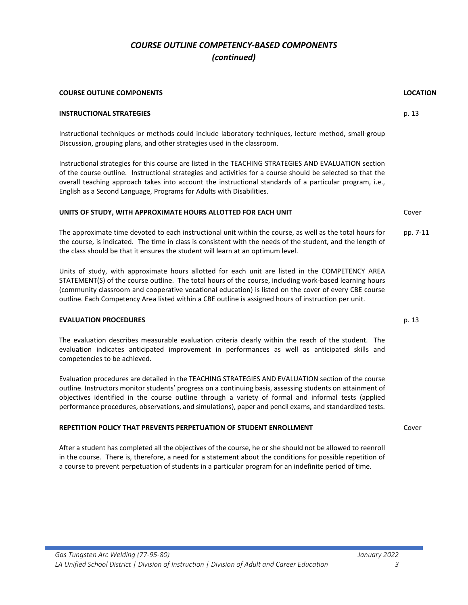# *COURSE OUTLINE COMPETENCY-BASED COMPONENTS (continued)*

| <b>COURSE OUTLINE COMPONENTS</b>                                                                                                                                                                                                                                                                                                                                                                                                   | <b>LOCATION</b> |
|------------------------------------------------------------------------------------------------------------------------------------------------------------------------------------------------------------------------------------------------------------------------------------------------------------------------------------------------------------------------------------------------------------------------------------|-----------------|
| <b>INSTRUCTIONAL STRATEGIES</b>                                                                                                                                                                                                                                                                                                                                                                                                    | p. 13           |
| Instructional techniques or methods could include laboratory techniques, lecture method, small-group<br>Discussion, grouping plans, and other strategies used in the classroom.                                                                                                                                                                                                                                                    |                 |
| Instructional strategies for this course are listed in the TEACHING STRATEGIES AND EVALUATION section<br>of the course outline. Instructional strategies and activities for a course should be selected so that the<br>overall teaching approach takes into account the instructional standards of a particular program, i.e.,<br>English as a Second Language, Programs for Adults with Disabilities.                             |                 |
| UNITS OF STUDY, WITH APPROXIMATE HOURS ALLOTTED FOR EACH UNIT                                                                                                                                                                                                                                                                                                                                                                      | Cover           |
| The approximate time devoted to each instructional unit within the course, as well as the total hours for<br>the course, is indicated. The time in class is consistent with the needs of the student, and the length of<br>the class should be that it ensures the student will learn at an optimum level.                                                                                                                         | pp. 7-11        |
| Units of study, with approximate hours allotted for each unit are listed in the COMPETENCY AREA<br>STATEMENT(S) of the course outline. The total hours of the course, including work-based learning hours<br>(community classroom and cooperative vocational education) is listed on the cover of every CBE course<br>outline. Each Competency Area listed within a CBE outline is assigned hours of instruction per unit.         |                 |
| <b>EVALUATION PROCEDURES</b>                                                                                                                                                                                                                                                                                                                                                                                                       | p. 13           |
| The evaluation describes measurable evaluation criteria clearly within the reach of the student. The<br>evaluation indicates anticipated improvement in performances as well as anticipated skills and<br>competencies to be achieved.                                                                                                                                                                                             |                 |
| Evaluation procedures are detailed in the TEACHING STRATEGIES AND EVALUATION section of the course<br>outline. Instructors monitor students' progress on a continuing basis, assessing students on attainment of<br>objectives identified in the course outline through a variety of formal and informal tests (applied<br>performance procedures, observations, and simulations), paper and pencil exams, and standardized tests. |                 |
| <b>REPETITION POLICY THAT PREVENTS PERPETUATION OF STUDENT ENROLLMENT</b>                                                                                                                                                                                                                                                                                                                                                          | Cover           |
| After a student has completed all the objectives of the course, he or she should not be allowed to reenroll<br>in the course. There is, therefore, a need for a statement about the conditions for possible repetition of                                                                                                                                                                                                          |                 |

a course to prevent perpetuation of students in a particular program for an indefinite period of time.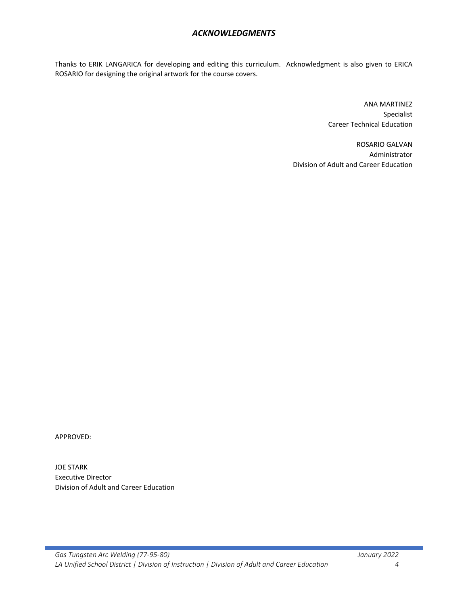# *ACKNOWLEDGMENTS*

Thanks to ERIK LANGARICA for developing and editing this curriculum. Acknowledgment is also given to ERICA ROSARIO for designing the original artwork for the course covers.

> ANA MARTINEZ Specialist Career Technical Education

ROSARIO GALVAN Administrator Division of Adult and Career Education

APPROVED:

JOE STARK Executive Director Division of Adult and Career Education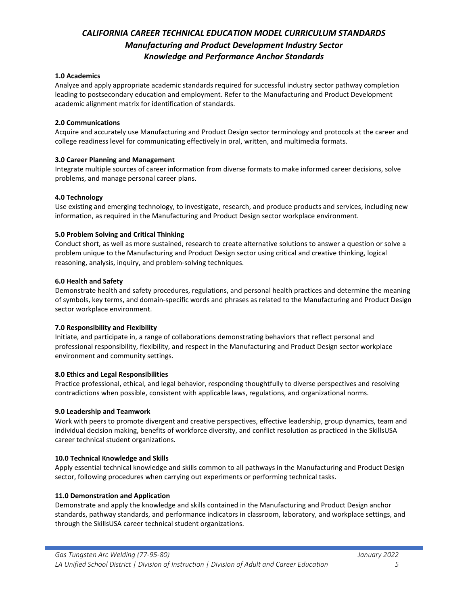# *CALIFORNIA CAREER TECHNICAL EDUCATION MODEL CURRICULUM STANDARDS Manufacturing and Product Development Industry Sector Knowledge and Performance Anchor Standards*

### **1.0 Academics**

Analyze and apply appropriate academic standards required for successful industry sector pathway completion leading to postsecondary education and employment. Refer to the Manufacturing and Product Development academic alignment matrix for identification of standards.

### **2.0 Communications**

Acquire and accurately use Manufacturing and Product Design sector terminology and protocols at the career and college readiness level for communicating effectively in oral, written, and multimedia formats.

### **3.0 Career Planning and Management**

Integrate multiple sources of career information from diverse formats to make informed career decisions, solve problems, and manage personal career plans.

### **4.0 Technology**

Use existing and emerging technology, to investigate, research, and produce products and services, including new information, as required in the Manufacturing and Product Design sector workplace environment.

### **5.0 Problem Solving and Critical Thinking**

Conduct short, as well as more sustained, research to create alternative solutions to answer a question or solve a problem unique to the Manufacturing and Product Design sector using critical and creative thinking, logical reasoning, analysis, inquiry, and problem-solving techniques.

### **6.0 Health and Safety**

Demonstrate health and safety procedures, regulations, and personal health practices and determine the meaning of symbols, key terms, and domain-specific words and phrases as related to the Manufacturing and Product Design sector workplace environment.

## **7.0 Responsibility and Flexibility**

Initiate, and participate in, a range of collaborations demonstrating behaviors that reflect personal and professional responsibility, flexibility, and respect in the Manufacturing and Product Design sector workplace environment and community settings.

## **8.0 Ethics and Legal Responsibilities**

Practice professional, ethical, and legal behavior, responding thoughtfully to diverse perspectives and resolving contradictions when possible, consistent with applicable laws, regulations, and organizational norms.

### **9.0 Leadership and Teamwork**

Work with peers to promote divergent and creative perspectives, effective leadership, group dynamics, team and individual decision making, benefits of workforce diversity, and conflict resolution as practiced in the SkillsUSA career technical student organizations.

### **10.0 Technical Knowledge and Skills**

Apply essential technical knowledge and skills common to all pathways in the Manufacturing and Product Design sector, following procedures when carrying out experiments or performing technical tasks.

### **11.0 Demonstration and Application**

Demonstrate and apply the knowledge and skills contained in the Manufacturing and Product Design anchor standards, pathway standards, and performance indicators in classroom, laboratory, and workplace settings, and through the SkillsUSA career technical student organizations.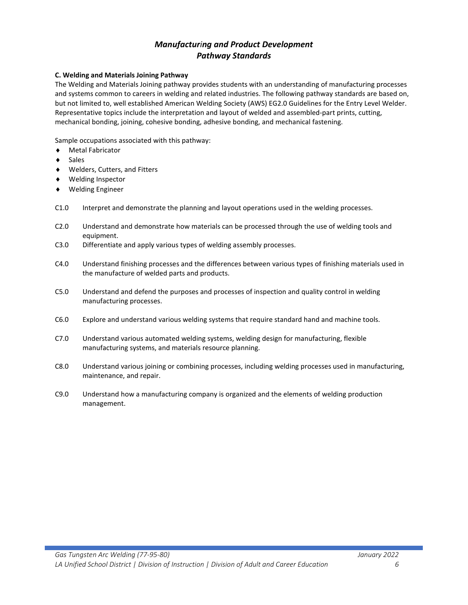# *Manufacturing and Product Development Pathway Standards*

### **C. Welding and Materials Joining Pathway**

The Welding and Materials Joining pathway provides students with an understanding of manufacturing processes and systems common to careers in welding and related industries. The following pathway standards are based on, but not limited to, well established American Welding Society (AWS) EG2.0 Guidelines for the Entry Level Welder. Representative topics include the interpretation and layout of welded and assembled-part prints, cutting, mechanical bonding, joining, cohesive bonding, adhesive bonding, and mechanical fastening.

Sample occupations associated with this pathway:

- ♦ Metal Fabricator
- ♦ Sales
- ♦ Welders, Cutters, and Fitters
- ♦ Welding Inspector
- ♦ Welding Engineer
- C1.0 Interpret and demonstrate the planning and layout operations used in the welding processes.
- C2.0 Understand and demonstrate how materials can be processed through the use of welding tools and equipment.
- C3.0 Differentiate and apply various types of welding assembly processes.
- C4.0 Understand finishing processes and the differences between various types of finishing materials used in the manufacture of welded parts and products.
- C5.0 Understand and defend the purposes and processes of inspection and quality control in welding manufacturing processes.
- C6.0 Explore and understand various welding systems that require standard hand and machine tools.
- C7.0 Understand various automated welding systems, welding design for manufacturing, flexible manufacturing systems, and materials resource planning.
- C8.0 Understand various joining or combining processes, including welding processes used in manufacturing, maintenance, and repair.
- C9.0 Understand how a manufacturing company is organized and the elements of welding production management.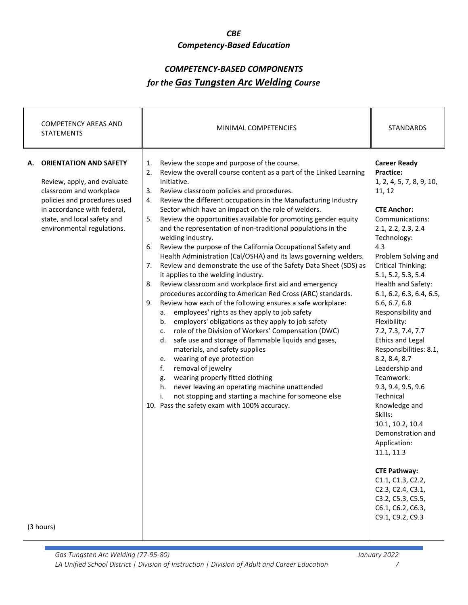### *CBE*

# *Competency-Based Education*

# *COMPETENCY-BASED COMPONENTS for the Gas Tungsten Arc Welding Course*

| <b>COMPETENCY AREAS AND</b><br><b>STATEMENTS</b>                                                                                                                                                                          | MINIMAL COMPETENCIES                                                                                                                                                                                                                                                                                                                                                                                                                                                                                                                                                                                                                                                                                                                                                                                                                                                                                                                                                                                                                                                                                                                                                                                                                                                                                                                                                                                                                                                                                                    | <b>STANDARDS</b>                                                                                                                                                                                                                                                                                                                                                                                                                                                                                                                                                                                                                                                                                                                                      |
|---------------------------------------------------------------------------------------------------------------------------------------------------------------------------------------------------------------------------|-------------------------------------------------------------------------------------------------------------------------------------------------------------------------------------------------------------------------------------------------------------------------------------------------------------------------------------------------------------------------------------------------------------------------------------------------------------------------------------------------------------------------------------------------------------------------------------------------------------------------------------------------------------------------------------------------------------------------------------------------------------------------------------------------------------------------------------------------------------------------------------------------------------------------------------------------------------------------------------------------------------------------------------------------------------------------------------------------------------------------------------------------------------------------------------------------------------------------------------------------------------------------------------------------------------------------------------------------------------------------------------------------------------------------------------------------------------------------------------------------------------------------|-------------------------------------------------------------------------------------------------------------------------------------------------------------------------------------------------------------------------------------------------------------------------------------------------------------------------------------------------------------------------------------------------------------------------------------------------------------------------------------------------------------------------------------------------------------------------------------------------------------------------------------------------------------------------------------------------------------------------------------------------------|
| <b>ORIENTATION AND SAFETY</b><br>А.<br>Review, apply, and evaluate<br>classroom and workplace<br>policies and procedures used<br>in accordance with federal,<br>state, and local safety and<br>environmental regulations. | Review the scope and purpose of the course.<br>1.<br>2.<br>Review the overall course content as a part of the Linked Learning<br>Initiative.<br>Review classroom policies and procedures.<br>3.<br>Review the different occupations in the Manufacturing Industry<br>4.<br>Sector which have an impact on the role of welders.<br>Review the opportunities available for promoting gender equity<br>5.<br>and the representation of non-traditional populations in the<br>welding industry.<br>Review the purpose of the California Occupational Safety and<br>6.<br>Health Administration (Cal/OSHA) and its laws governing welders.<br>Review and demonstrate the use of the Safety Data Sheet (SDS) as<br>7.<br>it applies to the welding industry.<br>Review classroom and workplace first aid and emergency<br>8.<br>procedures according to American Red Cross (ARC) standards.<br>Review how each of the following ensures a safe workplace:<br>9.<br>employees' rights as they apply to job safety<br>a.<br>employers' obligations as they apply to job safety<br>b.<br>role of the Division of Workers' Compensation (DWC)<br>c.<br>safe use and storage of flammable liquids and gases,<br>d.<br>materials, and safety supplies<br>wearing of eye protection<br>e.<br>removal of jewelry<br>f.<br>wearing properly fitted clothing<br>g.<br>never leaving an operating machine unattended<br>h.<br>not stopping and starting a machine for someone else<br>i.<br>10. Pass the safety exam with 100% accuracy. | <b>Career Ready</b><br><b>Practice:</b><br>1, 2, 4, 5, 7, 8, 9, 10,<br>11, 12<br><b>CTE Anchor:</b><br>Communications:<br>2.1, 2.2, 2.3, 2.4<br>Technology:<br>4.3<br>Problem Solving and<br><b>Critical Thinking:</b><br>5.1, 5.2, 5.3, 5.4<br>Health and Safety:<br>6.1, 6.2, 6.3, 6.4, 6.5,<br>6.6, 6.7, 6.8<br>Responsibility and<br>Flexibility:<br>7.2, 7.3, 7.4, 7.7<br><b>Ethics and Legal</b><br>Responsibilities: 8.1,<br>8.2, 8.4, 8.7<br>Leadership and<br>Teamwork:<br>9.3, 9.4, 9.5, 9.6<br>Technical<br>Knowledge and<br>Skills:<br>10.1, 10.2, 10.4<br>Demonstration and<br>Application:<br>11.1, 11.3<br><b>CTE Pathway:</b><br>C1.1, C1.3, C2.2,<br>C2.3, C2.4, C3.1,<br>C3.2, C5.3, C5.5,<br>C6.1, C6.2, C6.3,<br>C9.1, C9.2, C9.3 |
| (3 hours)                                                                                                                                                                                                                 |                                                                                                                                                                                                                                                                                                                                                                                                                                                                                                                                                                                                                                                                                                                                                                                                                                                                                                                                                                                                                                                                                                                                                                                                                                                                                                                                                                                                                                                                                                                         |                                                                                                                                                                                                                                                                                                                                                                                                                                                                                                                                                                                                                                                                                                                                                       |

*Gas Tungsten Arc Welding (77-95-80) January 2022 LA Unified School District | Division of Instruction | Division of Adult and Career Education 7*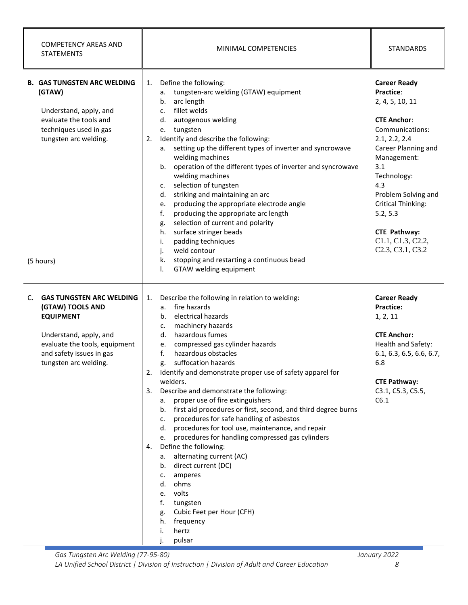| <b>COMPETENCY AREAS AND</b><br><b>STATEMENTS</b>                                                                                                                                              | MINIMAL COMPETENCIES                                                                                                                                                                                                                                                                                                                                                                                                                                                                                                                                                                                                                                                                                                                                                                                                                                                                                                        | <b>STANDARDS</b>                                                                                                                                                                                                                                                                                                                                       |
|-----------------------------------------------------------------------------------------------------------------------------------------------------------------------------------------------|-----------------------------------------------------------------------------------------------------------------------------------------------------------------------------------------------------------------------------------------------------------------------------------------------------------------------------------------------------------------------------------------------------------------------------------------------------------------------------------------------------------------------------------------------------------------------------------------------------------------------------------------------------------------------------------------------------------------------------------------------------------------------------------------------------------------------------------------------------------------------------------------------------------------------------|--------------------------------------------------------------------------------------------------------------------------------------------------------------------------------------------------------------------------------------------------------------------------------------------------------------------------------------------------------|
| <b>B. GAS TUNGSTEN ARC WELDING</b><br>(GTAW)<br>Understand, apply, and<br>evaluate the tools and<br>techniques used in gas<br>tungsten arc welding.                                           | Define the following:<br>1.<br>tungsten-arc welding (GTAW) equipment<br>а.<br>arc length<br>b.<br>fillet welds<br>c.<br>autogenous welding<br>d.<br>tungsten<br>e.<br>Identify and describe the following:<br>2.<br>setting up the different types of inverter and syncrowave<br>а.<br>welding machines<br>operation of the different types of inverter and syncrowave<br>b.<br>welding machines<br>selection of tungsten<br>c.<br>striking and maintaining an arc<br>d.<br>producing the appropriate electrode angle<br>e.<br>f.<br>producing the appropriate arc length<br>selection of current and polarity<br>g.<br>surface stringer beads<br>h.<br>padding techniques<br>i.<br>weld contour<br>j.<br>stopping and restarting a continuous bead<br>k.                                                                                                                                                                   | <b>Career Ready</b><br>Practice:<br>2, 4, 5, 10, 11<br><b>CTE Anchor:</b><br>Communications:<br>2.1, 2.2, 2.4<br>Career Planning and<br>Management:<br>3.1<br>Technology:<br>4.3<br>Problem Solving and<br><b>Critical Thinking:</b><br>5.2, 5.3<br><b>CTE Pathway:</b><br>C1.1, C1.3, C2.2,<br>C <sub>2.3</sub> , C <sub>3.1</sub> , C <sub>3.2</sub> |
| (5 hours)                                                                                                                                                                                     | GTAW welding equipment<br>Ι.                                                                                                                                                                                                                                                                                                                                                                                                                                                                                                                                                                                                                                                                                                                                                                                                                                                                                                |                                                                                                                                                                                                                                                                                                                                                        |
| C.<br><b>GAS TUNGSTEN ARC WELDING</b><br>(GTAW) TOOLS AND<br><b>EQUIPMENT</b><br>Understand, apply, and<br>evaluate the tools, equipment<br>and safety issues in gas<br>tungsten arc welding. | Describe the following in relation to welding:<br>1.<br>fire hazards<br>а.<br>electrical hazards<br>b.<br>machinery hazards<br>c.<br>hazardous fumes<br>d.<br>compressed gas cylinder hazards<br>e.<br>hazardous obstacles<br>f.<br>suffocation hazards<br>g.<br>2.<br>Identify and demonstrate proper use of safety apparel for<br>welders.<br>3. Describe and demonstrate the following:<br>proper use of fire extinguishers<br>а.<br>b. first aid procedures or first, second, and third degree burns<br>procedures for safe handling of asbestos<br>c.<br>procedures for tool use, maintenance, and repair<br>d.<br>procedures for handling compressed gas cylinders<br>e.<br>Define the following:<br>4.<br>alternating current (AC)<br>а.<br>direct current (DC)<br>b.<br>amperes<br>c.<br>ohms<br>d.<br>volts<br>e.<br>f.<br>tungsten<br>Cubic Feet per Hour (CFH)<br>g.<br>frequency<br>h.<br>i.<br>hertz<br>pulsar | <b>Career Ready</b><br>Practice:<br>1, 2, 11<br><b>CTE Anchor:</b><br>Health and Safety:<br>6.1, 6.3, 6.5, 6.6, 6.7,<br>6.8<br><b>CTE Pathway:</b><br>C3.1, C5.3, C5.5,<br>C6.1                                                                                                                                                                        |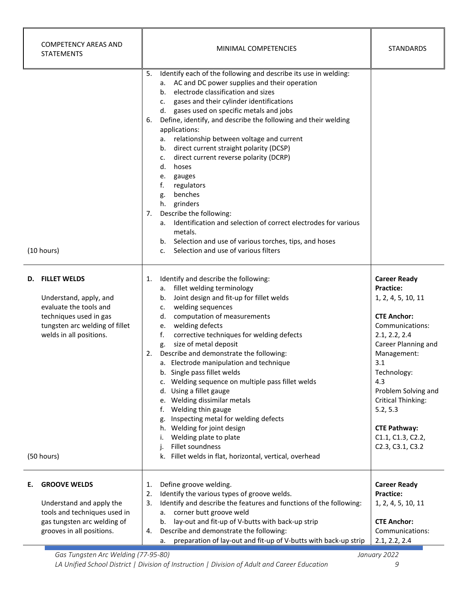| COMPETENCY AREAS AND<br><b>STATEMENTS</b>                                                                                                                                          | MINIMAL COMPETENCIES                                                                                                                                                                                                                                                                                                                                                                                                                                                                                                                                                                                                                                                                                                                                                                                                                      | <b>STANDARDS</b>                                                                                                                                                                                                                                                                                                    |
|------------------------------------------------------------------------------------------------------------------------------------------------------------------------------------|-------------------------------------------------------------------------------------------------------------------------------------------------------------------------------------------------------------------------------------------------------------------------------------------------------------------------------------------------------------------------------------------------------------------------------------------------------------------------------------------------------------------------------------------------------------------------------------------------------------------------------------------------------------------------------------------------------------------------------------------------------------------------------------------------------------------------------------------|---------------------------------------------------------------------------------------------------------------------------------------------------------------------------------------------------------------------------------------------------------------------------------------------------------------------|
| (10 hours)                                                                                                                                                                         | Identify each of the following and describe its use in welding:<br>5.<br>a. AC and DC power supplies and their operation<br>electrode classification and sizes<br>b.<br>gases and their cylinder identifications<br>c.<br>d. gases used on specific metals and jobs<br>Define, identify, and describe the following and their welding<br>6.<br>applications:<br>relationship between voltage and current<br>а.<br>direct current straight polarity (DCSP)<br>b.<br>direct current reverse polarity (DCRP)<br>c.<br>hoses<br>d.<br>gauges<br>e.<br>f.<br>regulators<br>benches<br>g.<br>h. grinders<br>Describe the following:<br>7.<br>a. Identification and selection of correct electrodes for various<br>metals.<br>b. Selection and use of various torches, tips, and hoses<br>Selection and use of various filters<br>$\mathsf{C}$ . |                                                                                                                                                                                                                                                                                                                     |
| <b>FILLET WELDS</b><br>D.<br>Understand, apply, and<br>evaluate the tools and<br>techniques used in gas<br>tungsten arc welding of fillet<br>welds in all positions.<br>(50 hours) | Identify and describe the following:<br>1.<br>a. fillet welding terminology<br>b. Joint design and fit-up for fillet welds<br>welding sequences<br>c.<br>computation of measurements<br>d.<br>e. welding defects<br>corrective techniques for welding defects<br>f.<br>size of metal deposit<br>g.<br>Describe and demonstrate the following:<br>2.<br>a. Electrode manipulation and technique<br>b. Single pass fillet welds<br>c. Welding sequence on multiple pass fillet welds<br>d. Using a fillet gauge<br>e. Welding dissimilar metals<br>Welding thin gauge<br>t.<br>g. Inspecting metal for welding defects<br>h. Welding for joint design<br>Welding plate to plate<br>i.<br>Fillet soundness<br>j.<br>k. Fillet welds in flat, horizontal, vertical, overhead                                                                  | <b>Career Ready</b><br>Practice:<br>1, 2, 4, 5, 10, 11<br><b>CTE Anchor:</b><br>Communications:<br>2.1, 2.2, 2.4<br>Career Planning and<br>Management:<br>3.1<br>Technology:<br>4.3<br>Problem Solving and<br><b>Critical Thinking:</b><br>5.2, 5.3<br><b>CTE Pathway:</b><br>C1.1, C1.3, C2.2,<br>C2.3, C3.1, C3.2 |
| <b>GROOVE WELDS</b><br>Е.<br>Understand and apply the<br>tools and techniques used in<br>gas tungsten arc welding of<br>grooves in all positions.                                  | Define groove welding.<br>1.<br>Identify the various types of groove welds.<br>2.<br>Identify and describe the features and functions of the following:<br>3.<br>a. corner butt groove weld<br>lay-out and fit-up of V-butts with back-up strip<br>b.<br>Describe and demonstrate the following:<br>4.<br>preparation of lay-out and fit-up of V-butts with back-up strip<br>a.                                                                                                                                                                                                                                                                                                                                                                                                                                                           | <b>Career Ready</b><br>Practice:<br>1, 2, 4, 5, 10, 11<br><b>CTE Anchor:</b><br>Communications:<br>2.1, 2.2, 2.4                                                                                                                                                                                                    |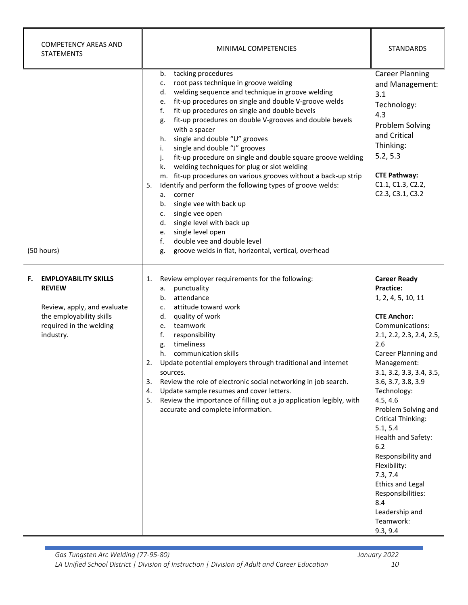| <b>COMPETENCY AREAS AND</b><br><b>STATEMENTS</b>                                                                                                      | MINIMAL COMPETENCIES                                                                                                                                                                                                                                                                                                                                                                                                                                                                                                                                                                                                                                                                                                                                                                                                                                                                                                               | <b>STANDARDS</b>                                                                                                                                                                                                                                                                                                                                                                                                                                                                                                |
|-------------------------------------------------------------------------------------------------------------------------------------------------------|------------------------------------------------------------------------------------------------------------------------------------------------------------------------------------------------------------------------------------------------------------------------------------------------------------------------------------------------------------------------------------------------------------------------------------------------------------------------------------------------------------------------------------------------------------------------------------------------------------------------------------------------------------------------------------------------------------------------------------------------------------------------------------------------------------------------------------------------------------------------------------------------------------------------------------|-----------------------------------------------------------------------------------------------------------------------------------------------------------------------------------------------------------------------------------------------------------------------------------------------------------------------------------------------------------------------------------------------------------------------------------------------------------------------------------------------------------------|
| (50 hours)                                                                                                                                            | tacking procedures<br>b.<br>root pass technique in groove welding<br>c.<br>welding sequence and technique in groove welding<br>d.<br>fit-up procedures on single and double V-groove welds<br>e.<br>fit-up procedures on single and double bevels<br>f.<br>fit-up procedures on double V-grooves and double bevels<br>g.<br>with a spacer<br>single and double "U" grooves<br>h.<br>single and double "J" grooves<br>i.<br>fit-up procedure on single and double square groove welding<br>j.<br>welding techniques for plug or slot welding<br>k.<br>m. fit-up procedures on various grooves without a back-up strip<br>Identify and perform the following types of groove welds:<br>5.<br>corner<br>а.<br>single vee with back up<br>b.<br>single vee open<br>c.<br>single level with back up<br>d.<br>single level open<br>e.<br>double vee and double level<br>f.<br>groove welds in flat, horizontal, vertical, overhead<br>g. | <b>Career Planning</b><br>and Management:<br>3.1<br>Technology:<br>4.3<br>Problem Solving<br>and Critical<br>Thinking:<br>5.2, 5.3<br><b>CTE Pathway:</b><br>C1.1, C1.3, C2.2,<br>C2.3, C3.1, C3.2                                                                                                                                                                                                                                                                                                              |
| <b>EMPLOYABILITY SKILLS</b><br>F.<br><b>REVIEW</b><br>Review, apply, and evaluate<br>the employability skills<br>required in the welding<br>industry. | Review employer requirements for the following:<br>1.<br>punctuality<br>а.<br>attendance<br>b.<br>attitude toward work<br>c.<br>quality of work<br>d.<br>teamwork<br>e.<br>f.<br>responsibility<br>timeliness<br>g.<br>communication skills<br>h.<br>Update potential employers through traditional and internet<br>2.<br>sources.<br>Review the role of electronic social networking in job search.<br>3.<br>Update sample resumes and cover letters.<br>4.<br>Review the importance of filling out a jo application legibly, with<br>5.<br>accurate and complete information.                                                                                                                                                                                                                                                                                                                                                    | <b>Career Ready</b><br><b>Practice:</b><br>1, 2, 4, 5, 10, 11<br><b>CTE Anchor:</b><br>Communications:<br>2.1, 2.2, 2.3, 2.4, 2.5,<br>2.6<br>Career Planning and<br>Management:<br>3.1, 3.2, 3.3, 3.4, 3.5,<br>3.6, 3.7, 3.8, 3.9<br>Technology:<br>4.5, 4.6<br>Problem Solving and<br><b>Critical Thinking:</b><br>5.1, 5.4<br>Health and Safety:<br>$6.2$<br>Responsibility and<br>Flexibility:<br>7.3, 7.4<br><b>Ethics and Legal</b><br>Responsibilities:<br>8.4<br>Leadership and<br>Teamwork:<br>9.3, 9.4 |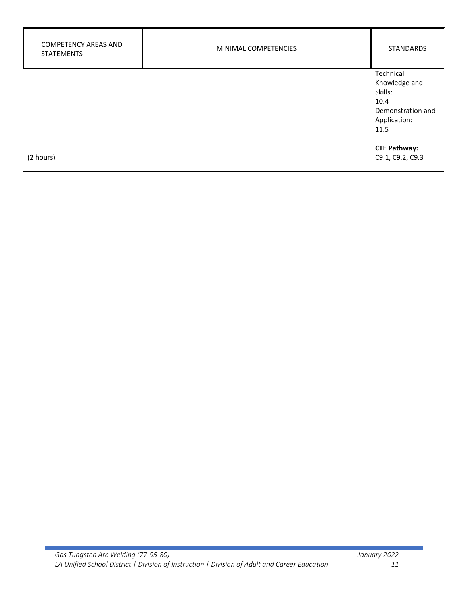| <b>COMPETENCY AREAS AND</b><br><b>STATEMENTS</b> | MINIMAL COMPETENCIES | <b>STANDARDS</b>                        |
|--------------------------------------------------|----------------------|-----------------------------------------|
|                                                  |                      | Technical                               |
|                                                  |                      | Knowledge and<br>Skills:                |
|                                                  |                      | 10.4                                    |
|                                                  |                      | Demonstration and                       |
|                                                  |                      | Application:                            |
|                                                  |                      | 11.5                                    |
| (2 hours)                                        |                      | <b>CTE Pathway:</b><br>C9.1, C9.2, C9.3 |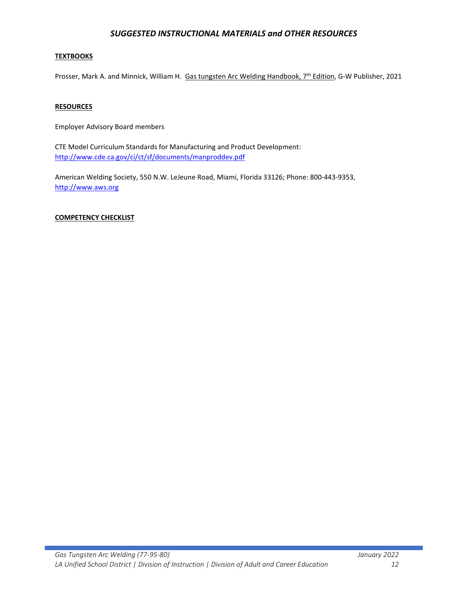# *SUGGESTED INSTRUCTIONAL MATERIALS and OTHER RESOURCES*

### **TEXTBOOKS**

Prosser, Mark A. and Minnick, William H. Gas tungsten Arc Welding Handbook, 7<sup>th</sup> Edition, G-W Publisher, 2021

#### **RESOURCES**

Employer Advisory Board members

CTE Model Curriculum Standards for Manufacturing and Product Development: <http://www.cde.ca.gov/ci/ct/sf/documents/manproddev.pdf>

American Welding Society, 550 N.W. LeJeune Road, Miami, Florida 33126; Phone: 800-443-9353, [http://www.aws.org](http://www.aws.org/)

### **COMPETENCY CHECKLIST**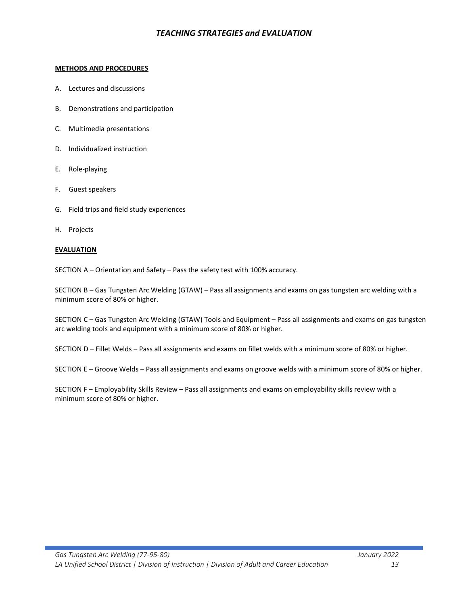# *TEACHING STRATEGIES and EVALUATION*

#### **METHODS AND PROCEDURES**

- A. Lectures and discussions
- B. Demonstrations and participation
- C. Multimedia presentations
- D. Individualized instruction
- E. Role-playing
- F. Guest speakers
- G. Field trips and field study experiences
- H. Projects

#### **EVALUATION**

SECTION A – Orientation and Safety – Pass the safety test with 100% accuracy.

SECTION B – Gas Tungsten Arc Welding (GTAW) – Pass all assignments and exams on gas tungsten arc welding with a minimum score of 80% or higher.

SECTION C – Gas Tungsten Arc Welding (GTAW) Tools and Equipment – Pass all assignments and exams on gas tungsten arc welding tools and equipment with a minimum score of 80% or higher.

SECTION D – Fillet Welds – Pass all assignments and exams on fillet welds with a minimum score of 80% or higher.

SECTION E – Groove Welds – Pass all assignments and exams on groove welds with a minimum score of 80% or higher.

SECTION F – Employability Skills Review – Pass all assignments and exams on employability skills review with a minimum score of 80% or higher.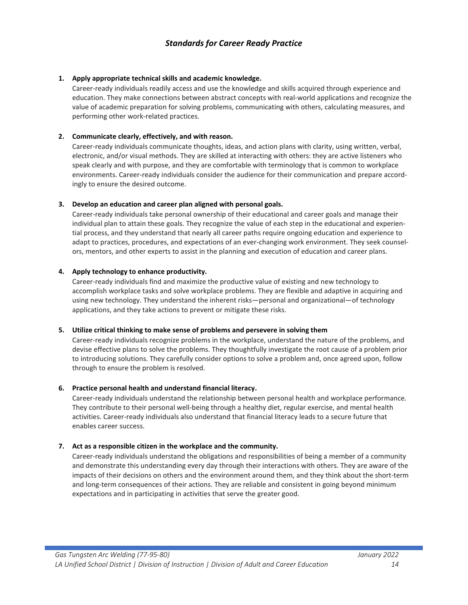# *Standards for Career Ready Practice*

### **1. Apply appropriate technical skills and academic knowledge.**

Career-ready individuals readily access and use the knowledge and skills acquired through experience and education. They make connections between abstract concepts with real-world applications and recognize the value of academic preparation for solving problems, communicating with others, calculating measures, and performing other work-related practices.

### **2. Communicate clearly, effectively, and with reason.**

Career-ready individuals communicate thoughts, ideas, and action plans with clarity, using written, verbal, electronic, and/or visual methods. They are skilled at interacting with others: they are active listeners who speak clearly and with purpose, and they are comfortable with terminology that is common to workplace environments. Career-ready individuals consider the audience for their communication and prepare accordingly to ensure the desired outcome.

#### **3. Develop an education and career plan aligned with personal goals.**

Career-ready individuals take personal ownership of their educational and career goals and manage their individual plan to attain these goals. They recognize the value of each step in the educational and experiential process, and they understand that nearly all career paths require ongoing education and experience to adapt to practices, procedures, and expectations of an ever-changing work environment. They seek counselors, mentors, and other experts to assist in the planning and execution of education and career plans.

#### **4. Apply technology to enhance productivity.**

Career-ready individuals find and maximize the productive value of existing and new technology to accomplish workplace tasks and solve workplace problems. They are flexible and adaptive in acquiring and using new technology. They understand the inherent risks—personal and organizational—of technology applications, and they take actions to prevent or mitigate these risks.

### **5. Utilize critical thinking to make sense of problems and persevere in solving them**

Career-ready individuals recognize problems in the workplace, understand the nature of the problems, and devise effective plans to solve the problems. They thoughtfully investigate the root cause of a problem prior to introducing solutions. They carefully consider options to solve a problem and, once agreed upon, follow through to ensure the problem is resolved.

### **6. Practice personal health and understand financial literacy.**

Career-ready individuals understand the relationship between personal health and workplace performance. They contribute to their personal well-being through a healthy diet, regular exercise, and mental health activities. Career-ready individuals also understand that financial literacy leads to a secure future that enables career success.

#### **7. Act as a responsible citizen in the workplace and the community.**

Career-ready individuals understand the obligations and responsibilities of being a member of a community and demonstrate this understanding every day through their interactions with others. They are aware of the impacts of their decisions on others and the environment around them, and they think about the short-term and long-term consequences of their actions. They are reliable and consistent in going beyond minimum expectations and in participating in activities that serve the greater good.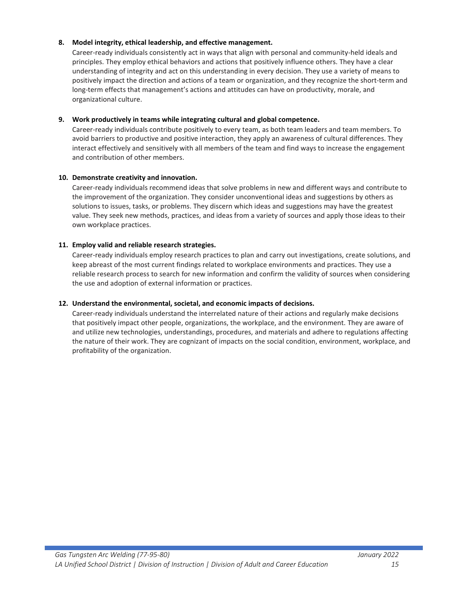### **8. Model integrity, ethical leadership, and effective management.**

Career-ready individuals consistently act in ways that align with personal and community-held ideals and principles. They employ ethical behaviors and actions that positively influence others. They have a clear understanding of integrity and act on this understanding in every decision. They use a variety of means to positively impact the direction and actions of a team or organization, and they recognize the short-term and long-term effects that management's actions and attitudes can have on productivity, morale, and organizational culture.

### **9. Work productively in teams while integrating cultural and global competence.**

Career-ready individuals contribute positively to every team, as both team leaders and team members. To avoid barriers to productive and positive interaction, they apply an awareness of cultural differences. They interact effectively and sensitively with all members of the team and find ways to increase the engagement and contribution of other members.

### **10. Demonstrate creativity and innovation.**

Career-ready individuals recommend ideas that solve problems in new and different ways and contribute to the improvement of the organization. They consider unconventional ideas and suggestions by others as solutions to issues, tasks, or problems. They discern which ideas and suggestions may have the greatest value. They seek new methods, practices, and ideas from a variety of sources and apply those ideas to their own workplace practices.

### **11. Employ valid and reliable research strategies.**

Career-ready individuals employ research practices to plan and carry out investigations, create solutions, and keep abreast of the most current findings related to workplace environments and practices. They use a reliable research process to search for new information and confirm the validity of sources when considering the use and adoption of external information or practices.

### **12. Understand the environmental, societal, and economic impacts of decisions.**

Career-ready individuals understand the interrelated nature of their actions and regularly make decisions that positively impact other people, organizations, the workplace, and the environment. They are aware of and utilize new technologies, understandings, procedures, and materials and adhere to regulations affecting the nature of their work. They are cognizant of impacts on the social condition, environment, workplace, and profitability of the organization.